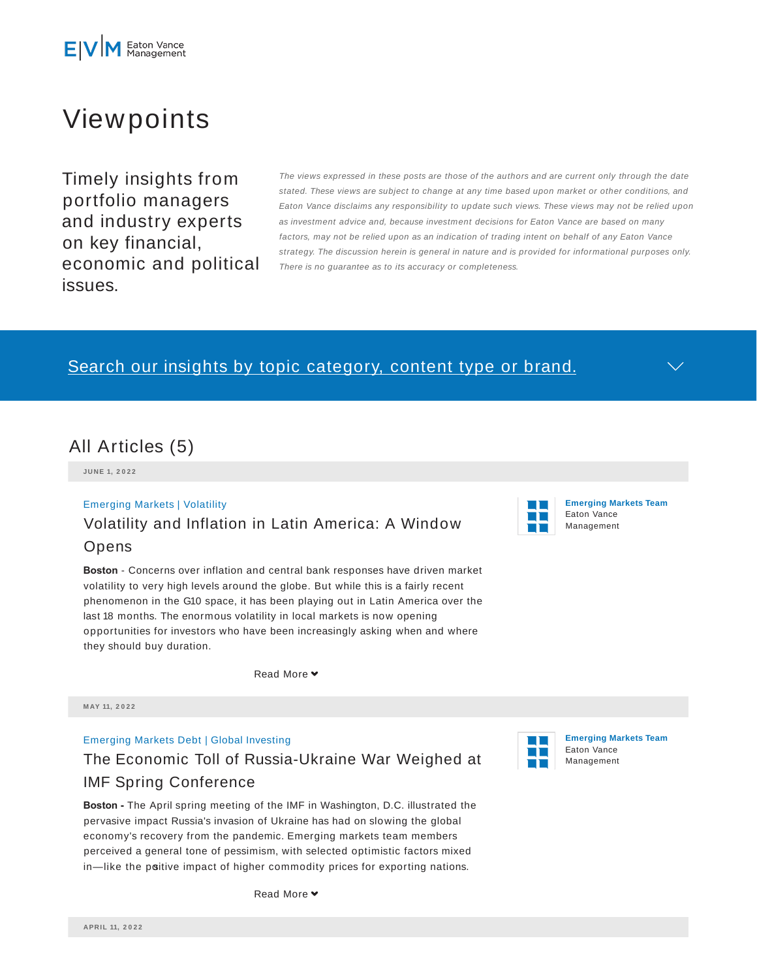# Viewpoints

Timely insights from portfolio managers and industry experts on key financial, economic and political issues.

The views expressed in these posts are those of the authors and are current only through the date stated. These views are subject to change at any time based upon market or other conditions, and Eaton Vance disclaims any responsibility to update such views. These views may not be relied upon as investment advice and, because investment decisions for Eaton Vance are based on many factors, may not be relied upon as an indication of trading intent on behalf of any Eaton Vance strategy. The discussion herein is general in nature and is provided for informational purposes only. There is no guarantee as to its accuracy or completeness.

### Search our insights by topic category, content type or brand.



**JU N E 1, 2 0 2 2**

### Emerging Markets | Volatility Volatility and Inflation in Latin America: A Window Opens



**Boston** - Concerns over inflation and central bank responses have driven market volatility to very high levels around the globe. But while this is a fairly recent phenomenon in the G10 space, it has been playing out in Latin America over the last 18 months. The enormous volatility in local markets is now opening opportunities for investors who have been increasingly asking when and where they should buy duration.

Read More **v** 

**M AY 11, 2 0 2 2**

#### Emerging Markets Debt | Global Investing

The Economic Toll of Russia-Ukraine War Weighed at IMF Spring Conference

**Boston -** The April spring meeting of the IMF in Washington, D.C. illustrated the pervasive impact Russia's invasion of Ukraine has had on slowing the global economy's recovery from the pandemic. Emerging markets team members perceived a general tone of pessimism, with selected optimistic factors mixed in-like the poitive impact of higher commodity prices for exporting nations.





**Emerging Markets Team** Eaton Vance Management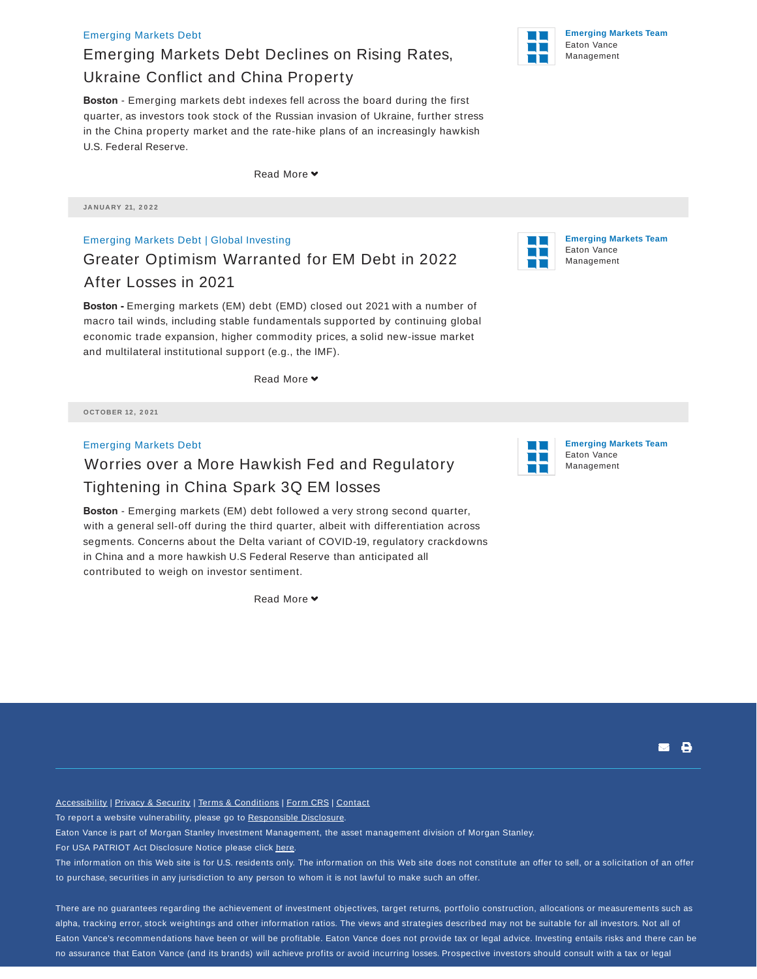#### Emerging Markets Debt

## Emerging Markets Debt Declines on Rising Rates, Ukraine Conflict and China Property

**Boston** - Emerging markets debt indexes fell across the board during the first quarter, as investors took stock of the Russian invasion of Ukraine, further stress in the China property market and the rate-hike plans of an increasingly hawkish U.S. Federal Reserve.

Read More

**JA N UA RY 21, 2 0 2 2**

Emerging Markets Debt | Global Investing Greater Optimism Warranted for EM Debt in 2022 After Losses in 2021

**Boston -** Emerging markets (EM) debt (EMD) closed out 2021 with a number of macro tail winds, including stable fundamentals supported by continuing global economic trade expansion, higher commodity prices, a solid new-issue market and multilateral institutional support (e.g., the IMF).

Read More ♥

**O CTO BER 12 , 2 0 21**

Emerging Markets Debt

### Worries over a More Hawkish Fed and Regulatory Tightening in China Spark 3Q EM losses

**Boston** - Emerging markets (EM) debt followed a very strong second quarter, with a general sell-off during the third quarter, albeit with differentiation across segments. Concerns about the Delta variant of COVID-19, regulatory crackdowns in China and a more hawkish U.S Federal Reserve than anticipated all contributed to weigh on investor sentiment.

Read More **v** 

**Emerging Markets Team** Eaton Vance Management

**Emerging Markets Team** Eaton Vance Management

**. 8** 

Accessibility | Privacy & Security | Terms & Conditions | Form CRS | Contact

To report a website vulnerability, please go to Responsible Disclosure.

Eaton Vance is part of Morgan Stanley Investment Management, the asset management division of Morgan Stanley.

For USA PATRIOT Act Disclosure Notice please click here.

The information on this Web site is for U.S. residents only. The information on this Web site does not constitute an offer to sell, or a solicitation of an offer to purchase, securities in any jurisdiction to any person to whom it is not lawful to make such an offer.

There are no guarantees regarding the achievement of investment objectives, target returns, portfolio construction, allocations or measurements such as alpha, tracking error, stock weightings and other information ratios. The views and strategies described may not be suitable for all investors. Not all of Eaton Vance's recommendations have been or will be profitable. Eaton Vance does not provide tax or legal advice. Investing entails risks and there can be no assurance that Eaton Vance (and its brands) will achieve profits or avoid incurring losses. Prospective investors should consult with a tax or legal